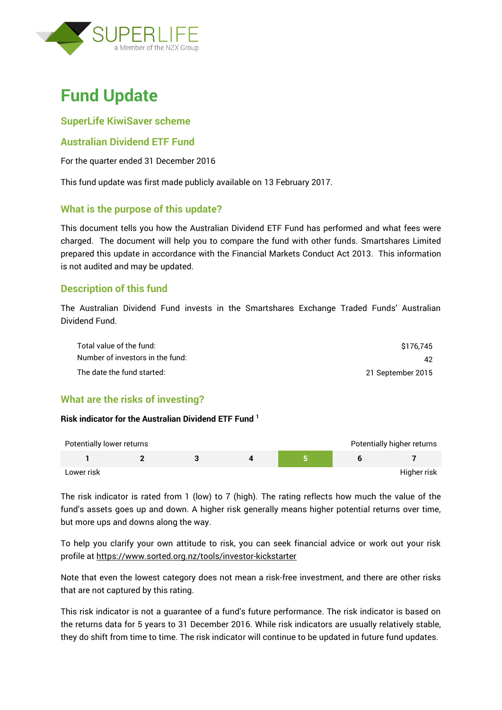

# **Fund Update**

# **SuperLife KiwiSaver scheme**

## **Australian Dividend ETF Fund**

For the quarter ended 31 December 2016

This fund update was first made publicly available on 13 February 2017.

# **What is the purpose of this update?**

This document tells you how the Australian Dividend ETF Fund has performed and what fees were charged. The document will help you to compare the fund with other funds. Smartshares Limited prepared this update in accordance with the Financial Markets Conduct Act 2013. This information is not audited and may be updated.

# **Description of this fund**

The Australian Dividend Fund invests in the Smartshares Exchange Traded Funds' Australian Dividend Fund.

| Total value of the fund:         | \$176.745         |
|----------------------------------|-------------------|
| Number of investors in the fund: | 42.               |
| The date the fund started:       | 21 September 2015 |

# **What are the risks of investing?**

#### **Risk indicator for the Australian Dividend ETF Fund <sup>1</sup>**

| Potentially lower returns |  |  | Potentially higher returns |
|---------------------------|--|--|----------------------------|
|                           |  |  |                            |
| Lower risk                |  |  | Higher risk                |

The risk indicator is rated from 1 (low) to 7 (high). The rating reflects how much the value of the fund's assets goes up and down. A higher risk generally means higher potential returns over time, but more ups and downs along the way.

To help you clarify your own attitude to risk, you can seek financial advice or work out your risk profile at<https://www.sorted.org.nz/tools/investor-kickstarter>

Note that even the lowest category does not mean a risk-free investment, and there are other risks that are not captured by this rating.

This risk indicator is not a guarantee of a fund's future performance. The risk indicator is based on the returns data for 5 years to 31 December 2016. While risk indicators are usually relatively stable, they do shift from time to time. The risk indicator will continue to be updated in future fund updates.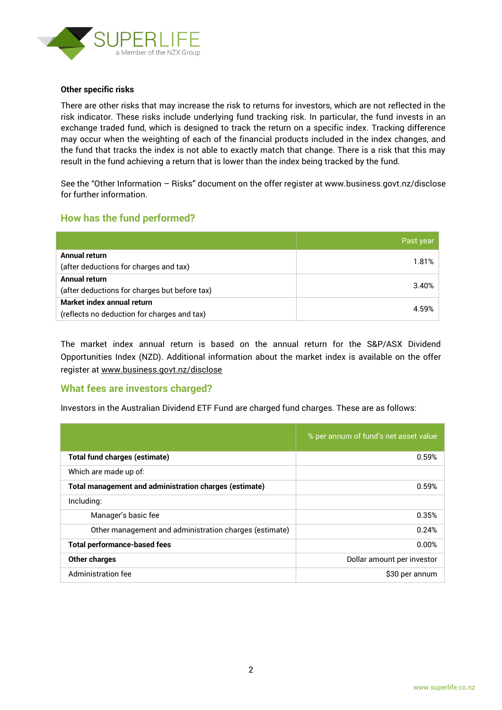

#### **Other specific risks**

There are other risks that may increase the risk to returns for investors, which are not reflected in the risk indicator. These risks include underlying fund tracking risk. In particular, the fund invests in an exchange traded fund, which is designed to track the return on a specific index. Tracking difference may occur when the weighting of each of the financial products included in the index changes, and the fund that tracks the index is not able to exactly match that change. There is a risk that this may result in the fund achieving a return that is lower than the index being tracked by the fund.

See the "Other Information – Risks" document on the offer register at www.business.govt.nz/disclose for further information.

## **How has the fund performed?**

|                                               | Past year |
|-----------------------------------------------|-----------|
| Annual return                                 |           |
| (after deductions for charges and tax)        | 1.81%     |
| Annual return                                 | 3.40%     |
| (after deductions for charges but before tax) |           |
| Market index annual return                    |           |
| (reflects no deduction for charges and tax)   | 4.59%     |

The market index annual return is based on the annual return for the S&P/ASX Dividend Opportunities Index (NZD). Additional information about the market index is available on the offer register at [www.business.govt.nz/disclose](http://www.business.govt.nz/disclose)

#### **What fees are investors charged?**

Investors in the Australian Dividend ETF Fund are charged fund charges. These are as follows:

|                                                               | % per annum of fund's net asset value |
|---------------------------------------------------------------|---------------------------------------|
| <b>Total fund charges (estimate)</b>                          | 0.59%                                 |
| Which are made up of:                                         |                                       |
| <b>Total management and administration charges (estimate)</b> | 0.59%                                 |
| Including:                                                    |                                       |
| Manager's basic fee                                           | 0.35%                                 |
| Other management and administration charges (estimate)        | 0.24%                                 |
| <b>Total performance-based fees</b>                           | 0.00%                                 |
| <b>Other charges</b>                                          | Dollar amount per investor            |
| Administration fee                                            | \$30 per annum                        |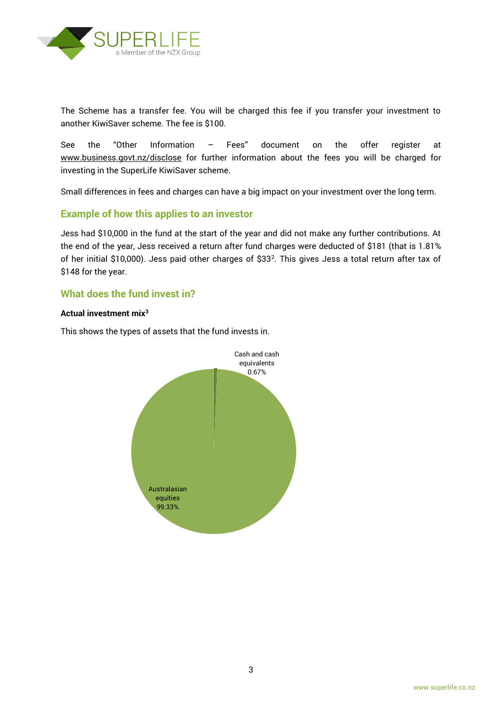

The Scheme has a transfer fee. You will be charged this fee if you transfer your investment to another KiwiSaver scheme. The fee is \$100.

See the "Other Information – Fees" document on the offer register at www.business.govt.nz/disclose for further information about the fees you will be charged for investing in the SuperLife KiwiSaver scheme.

Small differences in fees and charges can have a big impact on your investment over the long term.

## **Example of how this applies to an investor**

Jess had \$10,000 in the fund at the start of the year and did not make any further contributions. At the end of the year, Jess received a return after fund charges were deducted of \$181 (that is 1.81% of her initial \$10,000). Jess paid other charges of \$33<sup>2</sup>. This gives Jess a total return after tax of \$148 for the year.

## **What does the fund invest in?**

#### **Actual investment mix<sup>3</sup>**

This shows the types of assets that the fund invests in.

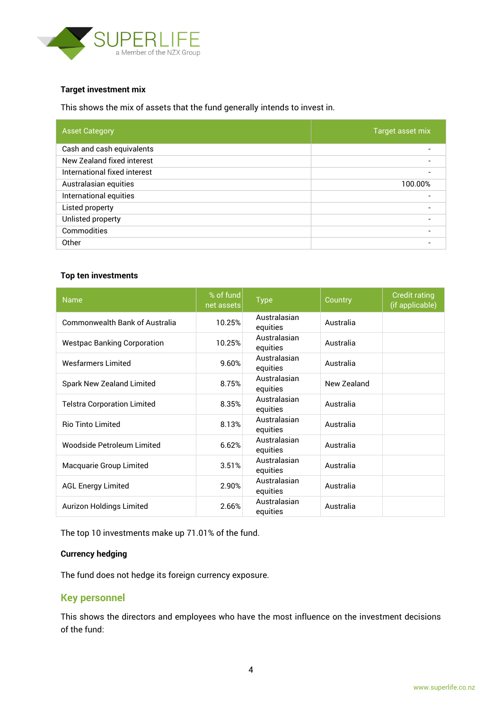

#### **Target investment mix**

This shows the mix of assets that the fund generally intends to invest in.

| <b>Asset Category</b>        | Target asset mix |
|------------------------------|------------------|
| Cash and cash equivalents    |                  |
| New Zealand fixed interest   |                  |
| International fixed interest |                  |
| Australasian equities        | 100.00%          |
| International equities       |                  |
| Listed property              |                  |
| Unlisted property            |                  |
| Commodities                  |                  |
| Other                        |                  |

#### **Top ten investments**

| <b>Name</b>                           | % of fund<br>net assets | <b>Type</b>              | Country     | <b>Credit rating</b><br>(if applicable) |
|---------------------------------------|-------------------------|--------------------------|-------------|-----------------------------------------|
| <b>Commonwealth Bank of Australia</b> | 10.25%                  | Australasian<br>equities | Australia   |                                         |
| <b>Westpac Banking Corporation</b>    | 10.25%                  | Australasian<br>equities | Australia   |                                         |
| <b>Wesfarmers Limited</b>             | 9.60%                   | Australasian<br>equities | Australia   |                                         |
| Spark New Zealand Limited             | 8.75%                   | Australasian<br>equities | New Zealand |                                         |
| <b>Telstra Corporation Limited</b>    | 8.35%                   | Australasian<br>equities | Australia   |                                         |
| <b>Rio Tinto Limited</b>              | 8.13%                   | Australasian<br>equities | Australia   |                                         |
| Woodside Petroleum Limited            | 6.62%                   | Australasian<br>equities | Australia   |                                         |
| Macquarie Group Limited               | 3.51%                   | Australasian<br>equities | Australia   |                                         |
| <b>AGL Energy Limited</b>             | 2.90%                   | Australasian<br>equities | Australia   |                                         |
| Aurizon Holdings Limited              | 2.66%                   | Australasian<br>equities | Australia   |                                         |

The top 10 investments make up 71.01% of the fund.

#### **Currency hedging**

The fund does not hedge its foreign currency exposure.

## **Key personnel**

This shows the directors and employees who have the most influence on the investment decisions of the fund: